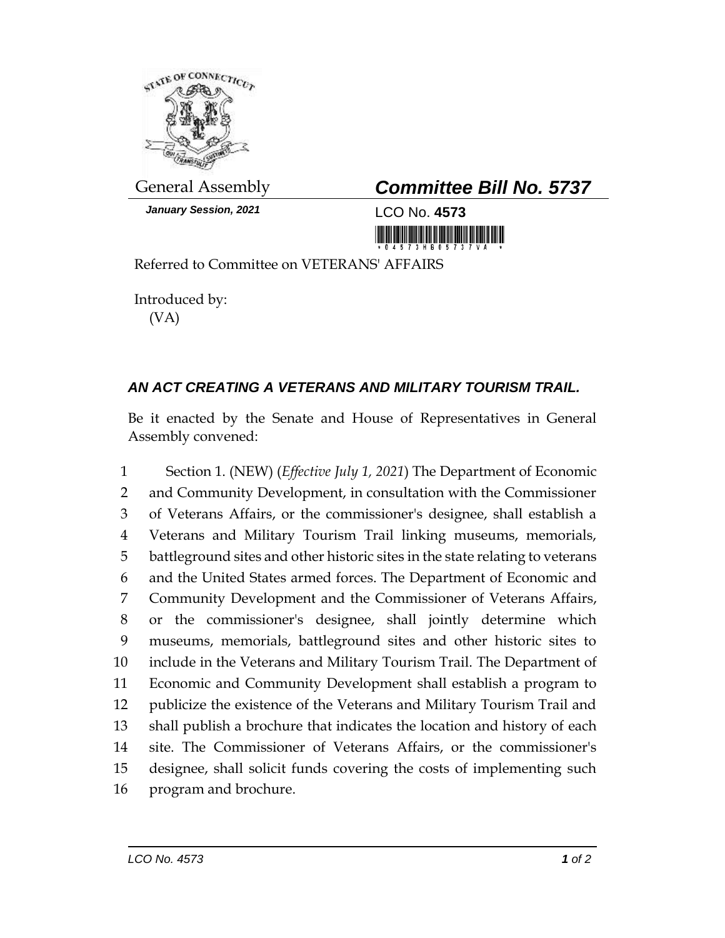

*January Session, 2021* LCO No. **4573**

## General Assembly *Committee Bill No. 5737*

Referred to Committee on VETERANS' AFFAIRS

Introduced by: (VA)

## *AN ACT CREATING A VETERANS AND MILITARY TOURISM TRAIL.*

Be it enacted by the Senate and House of Representatives in General Assembly convened:

 Section 1. (NEW) (*Effective July 1, 2021*) The Department of Economic and Community Development, in consultation with the Commissioner of Veterans Affairs, or the commissioner's designee, shall establish a Veterans and Military Tourism Trail linking museums, memorials, battleground sites and other historic sites in the state relating to veterans and the United States armed forces. The Department of Economic and Community Development and the Commissioner of Veterans Affairs, or the commissioner's designee, shall jointly determine which museums, memorials, battleground sites and other historic sites to include in the Veterans and Military Tourism Trail. The Department of Economic and Community Development shall establish a program to publicize the existence of the Veterans and Military Tourism Trail and shall publish a brochure that indicates the location and history of each site. The Commissioner of Veterans Affairs, or the commissioner's designee, shall solicit funds covering the costs of implementing such program and brochure.